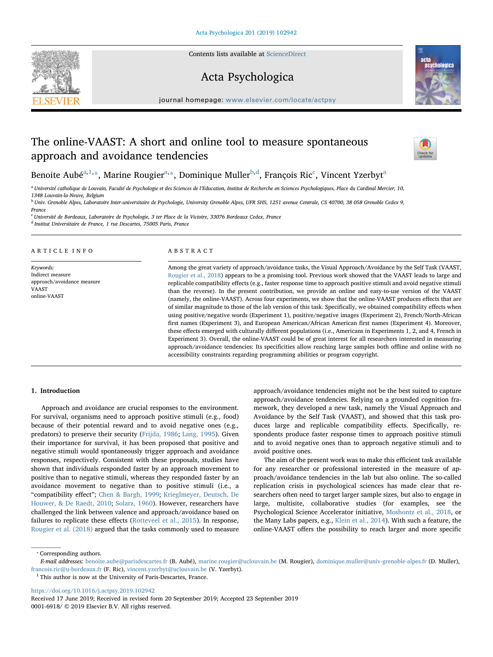

Contents lists available at [ScienceDirect](http://www.sciencedirect.com/science/journal/00016918)

# Acta Psychologica



journal homepage: [www.elsevier.com/locate/actpsy](https://www.elsevier.com/locate/actpsy)

# The online-VAAST: A short and online tool to measure spontaneous approach and avoidance tendencies



Benoite Aubé<sup>[a,](#page-0-0)[1](#page-0-1),</sup>[\\*,](#page-0-2) Marine Rougier<sup>a,</sup>[\\*](#page-0-2), Dominique Muller<sup>[b,](#page-0-3)[d](#page-0-4)</sup>, François Ri[c](#page-0-5)<sup>c</sup>, Vincent Yzerbyt<sup>[a](#page-0-0)</sup>

<span id="page-0-0"></span><sup>a</sup> Université catholique de Louvain, Faculté de Psychologie et des Sciences de l'Education, Institut de Recherche en Sciences Psychologiques, Place du Cardinal Mercier, 10, 1348 Louvain-la-Neuve, Belgium

<span id="page-0-3"></span><sup>b</sup> Univ. Grenoble Alpes, Laboratoire Inter-universitaire de Psychologie, University Grenoble Alpes, UFR SHS, 1251 avenue Centrale, CS 40700, 38 058 Grenoble Cedex 9,

France

<span id="page-0-5"></span><sup>c</sup> Université de Bordeaux, Laboratoire de Psychologie, 3 ter Place de la Victoire, 33076 Bordeaux Cedex, France

<span id="page-0-4"></span><sup>d</sup> Institut Universitaire de France, 1 rue Descartes, 75005 Paris, France

## ARTICLE INFO

Keywords: Indirect measure approach/avoidance measure VAAST online-VAAST

## ABSTRACT

Among the great variety of approach/avoidance tasks, the Visual Approach/Avoidance by the Self Task (VAAST, [Rougier et al., 2018\)](#page-9-0) appears to be a promising tool. Previous work showed that the VAAST leads to large and replicable compatibility effects (e.g., faster response time to approach positive stimuli and avoid negative stimuli than the reverse). In the present contribution, we provide an online and easy-to-use version of the VAAST (namely, the online-VAAST). Across four experiments, we show that the online-VAAST produces effects that are of similar magnitude to those of the lab version of this task. Specifically, we obtained compatibility effects when using positive/negative words (Experiment 1), positive/negative images (Experiment 2), French/North-African first names (Experiment 3), and European American/African American first names (Experiment 4). Moreover, these effects emerged with culturally different populations (i.e., Americans in Experiments 1, 2, and 4, French in Experiment 3). Overall, the online-VAAST could be of great interest for all researchers interested in measuring approach/avoidance tendencies: Its specificities allow reaching large samples both offline and online with no accessibility constraints regarding programming abilities or program copyright.

## 1. Introduction

Approach and avoidance are crucial responses to the environment. For survival, organisms need to approach positive stimuli (e.g., food) because of their potential reward and to avoid negative ones (e.g., predators) to preserve their security ([Frijda, 1986](#page-8-0); [Lang, 1995](#page-8-1)). Given their importance for survival, it has been proposed that positive and negative stimuli would spontaneously trigger approach and avoidance responses, respectively. Consistent with these proposals, studies have shown that individuals responded faster by an approach movement to positive than to negative stimuli, whereas they responded faster by an avoidance movement to negative than to positive stimuli (i.e., a "compatibility effect"; [Chen & Bargh, 1999;](#page-8-2) [Krieglmeyer, Deutsch, De](#page-8-3) [Houwer, & De Raedt, 2010;](#page-8-3) [Solarz, 1960\)](#page-9-1). However, researchers have challenged the link between valence and approach/avoidance based on failures to replicate these effects [\(Rotteveel et al., 2015\)](#page-9-2). In response, [Rougier et al. \(2018\)](#page-9-0) argued that the tasks commonly used to measure approach/avoidance tendencies might not be the best suited to capture approach/avoidance tendencies. Relying on a grounded cognition framework, they developed a new task, namely the Visual Approach and Avoidance by the Self Task (VAAST), and showed that this task produces large and replicable compatibility effects. Specifically, respondents produce faster response times to approach positive stimuli and to avoid negative ones than to approach negative stimuli and to avoid positive ones.

The aim of the present work was to make this efficient task available for any researcher or professional interested in the measure of approach/avoidance tendencies in the lab but also online. The so-called replication crisis in psychological sciences has made clear that researchers often need to target larger sample sizes, but also to engage in large, multisite, collaborative studies (for examples, see the Psychological Science Accelerator initiative, [Moshontz et al., 2018](#page-8-4), or the Many Labs papers, e.g., [Klein et al., 2014\)](#page-8-5). With such a feature, the online-VAAST offers the possibility to reach larger and more specific

<span id="page-0-2"></span>⁎ Corresponding authors.

<https://doi.org/10.1016/j.actpsy.2019.102942>

E-mail addresses: [benoite.aube@parisdescartes.fr](mailto:benoite.aube@parisdescartes.fr) (B. Aubé), [marine.rougier@uclouvain.be](mailto:marine.rougier@uclouvain.be) (M. Rougier), [dominique.muller@univ-grenoble-alpes.fr](mailto:dominique.muller@univ-grenoble-alpes.fr) (D. Muller), [francois.ric@u-bordeaux.fr](mailto:francois.ric@u-bordeaux.fr) (F. Ric), [vincent.yzerbyt@uclouvain.be](mailto:vincent.yzerbyt@uclouvain.be) (V. Yzerbyt).

<span id="page-0-1"></span> $1$  This author is now at the University of Paris-Descartes, France.

Received 17 June 2019; Received in revised form 20 September 2019; Accepted 23 September 2019 0001-6918/ © 2019 Elsevier B.V. All rights reserved.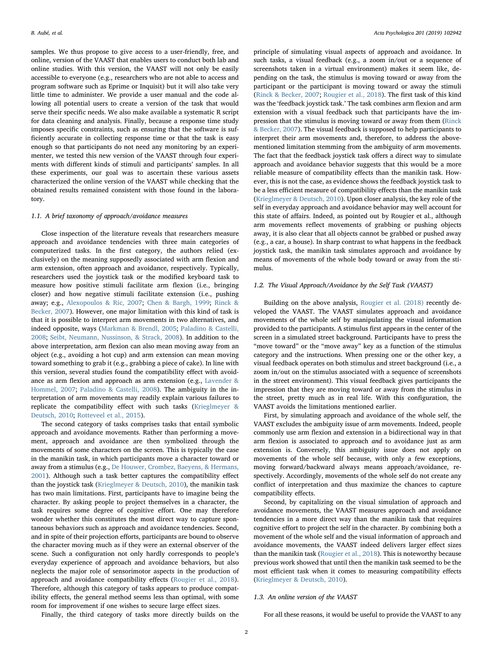samples. We thus propose to give access to a user-friendly, free, and online, version of the VAAST that enables users to conduct both lab and online studies. With this version, the VAAST will not only be easily accessible to everyone (e.g., researchers who are not able to access and program software such as Eprime or Inquisit) but it will also take very little time to administer. We provide a user manual and the code allowing all potential users to create a version of the task that would serve their specific needs. We also make available a systematic R script for data cleaning and analysis. Finally, because a response time study imposes specific constraints, such as ensuring that the software is sufficiently accurate in collecting response time or that the task is easy enough so that participants do not need any monitoring by an experimenter, we tested this new version of the VAAST through four experiments with different kinds of stimuli and participants' samples. In all these experiments, our goal was to ascertain these various assets characterized the online version of the VAAST while checking that the obtained results remained consistent with those found in the laboratory.

#### 1.1. A brief taxonomy of approach/avoidance measures

Close inspection of the literature reveals that researchers measure approach and avoidance tendencies with three main categories of computerized tasks. In the first category, the authors relied (exclusively) on the meaning supposedly associated with arm flexion and arm extension, often approach and avoidance, respectively. Typically, researchers used the joystick task or the modified keyboard task to measure how positive stimuli facilitate arm flexion (i.e., bringing closer) and how negative stimuli facilitate extension (i.e., pushing away; e.g., [Alexopoulos & Ric, 2007;](#page-8-6) [Chen & Bargh, 1999](#page-8-2); [Rinck &](#page-8-7) [Becker, 2007](#page-8-7)). However, one major limitation with this kind of task is that it is possible to interpret arm movements in two alternatives, and indeed opposite, ways [\(Markman & Brendl, 2005](#page-8-8); [Paladino & Castelli,](#page-8-9) [2008;](#page-8-9) [Seibt, Neumann, Nussinson, & Strack, 2008\)](#page-9-3). In addition to the above interpretation, arm flexion can also mean moving away from an object (e.g., avoiding a hot cup) and arm extension can mean moving toward something to grab it (e.g., grabbing a piece of cake). In line with this version, several studies found the compatibility effect with avoidance as arm flexion and approach as arm extension (e.g., [Lavender &](#page-8-10) [Hommel, 2007](#page-8-10); [Paladino & Castelli, 2008\)](#page-8-9). The ambiguity in the interpretation of arm movements may readily explain various failures to replicate the compatibility effect with such tasks ([Krieglmeyer &](#page-8-11) [Deutsch, 2010;](#page-8-11) [Rotteveel et al., 2015](#page-9-2)).

The second category of tasks comprises tasks that entail symbolic approach and avoidance movements. Rather than performing a movement, approach and avoidance are then symbolized through the movements of some characters on the screen. This is typically the case in the manikin task, in which participants move a character toward or away from a stimulus (e.g., [De Houwer, Crombez, Baeyens, & Hermans,](#page-8-12) [2001\)](#page-8-12). Although such a task better captures the compatibility effect than the joystick task [\(Krieglmeyer & Deutsch, 2010](#page-8-11)), the manikin task has two main limitations. First, participants have to imagine being the character. By asking people to project themselves in a character, the task requires some degree of cognitive effort. One may therefore wonder whether this constitutes the most direct way to capture spontaneous behaviors such as approach and avoidance tendencies. Second, and in spite of their projection efforts, participants are bound to observe the character moving much as if they were an external observer of the scene. Such a configuration not only hardly corresponds to people's everyday experience of approach and avoidance behaviors, but also neglects the major role of sensorimotor aspects in the production of approach and avoidance compatibility effects ([Rougier et al., 2018](#page-9-0)). Therefore, although this category of tasks appears to produce compatibility effects, the general method seems less than optimal, with some room for improvement if one wishes to secure large effect sizes.

principle of simulating visual aspects of approach and avoidance. In such tasks, a visual feedback (e.g., a zoom in/out or a sequence of screenshots taken in a virtual environment) makes it seem like, depending on the task, the stimulus is moving toward or away from the participant or the participant is moving toward or away the stimuli ([Rinck & Becker, 2007](#page-8-7); [Rougier et al., 2018](#page-9-0)). The first task of this kind was the 'feedback joystick task.' The task combines arm flexion and arm extension with a visual feedback such that participants have the impression that the stimulus is moving toward or away from them ([Rinck](#page-8-7) [& Becker, 2007](#page-8-7)). The visual feedback is supposed to help participants to interpret their arm movements and, therefore, to address the abovementioned limitation stemming from the ambiguity of arm movements. The fact that the feedback joystick task offers a direct way to simulate approach and avoidance behavior suggests that this would be a more reliable measure of compatibility effects than the manikin task. However, this is not the case, as evidence shows the feedback joystick task to be a less efficient measure of compatibility effects than the manikin task ([Krieglmeyer & Deutsch, 2010](#page-8-11)). Upon closer analysis, the key role of the self in everyday approach and avoidance behavior may well account for this state of affairs. Indeed, as pointed out by Rougier et al., although arm movements reflect movements of grabbing or pushing objects away, it is also clear that all objects cannot be grabbed or pushed away (e.g., a car, a house). In sharp contrast to what happens in the feedback joystick task, the manikin task simulates approach and avoidance by means of movements of the whole body toward or away from the stimulus.

# 1.2. The Visual Approach/Avoidance by the Self Task (VAAST)

Building on the above analysis, [Rougier et al. \(2018\)](#page-9-0) recently developed the VAAST. The VAAST simulates approach and avoidance movements of the whole self by manipulating the visual information provided to the participants. A stimulus first appears in the center of the screen in a simulated street background. Participants have to press the "move toward" or the "move away" key as a function of the stimulus category and the instructions. When pressing one or the other key, a visual feedback operates on both stimulus and street background (i.e., a zoom in/out on the stimulus associated with a sequence of screenshots in the street environment). This visual feedback gives participants the impression that they are moving toward or away from the stimulus in the street, pretty much as in real life. With this configuration, the VAAST avoids the limitations mentioned earlier.

First, by simulating approach and avoidance of the whole self, the VAAST excludes the ambiguity issue of arm movements. Indeed, people commonly use arm flexion and extension in a bidirectional way in that arm flexion is associated to approach and to avoidance just as arm extension is. Conversely, this ambiguity issue does not apply on movements of the whole self because, with only a few exceptions, moving forward/backward always means approach/avoidance, respectively. Accordingly, movements of the whole self do not create any conflict of interpretation and thus maximize the chances to capture compatibility effects.

Second, by capitalizing on the visual simulation of approach and avoidance movements, the VAAST measures approach and avoidance tendencies in a more direct way than the manikin task that requires cognitive effort to project the self in the character. By combining both a movement of the whole self and the visual information of approach and avoidance movements, the VAAST indeed delivers larger effect sizes than the manikin task [\(Rougier et al., 2018](#page-9-0)). This is noteworthy because previous work showed that until then the manikin task seemed to be the most efficient task when it comes to measuring compatibility effects ([Krieglmeyer & Deutsch, 2010](#page-8-11)).

#### 1.3. An online version of the VAAST

Finally, the third category of tasks more directly builds on the

For all these reasons, it would be useful to provide the VAAST to any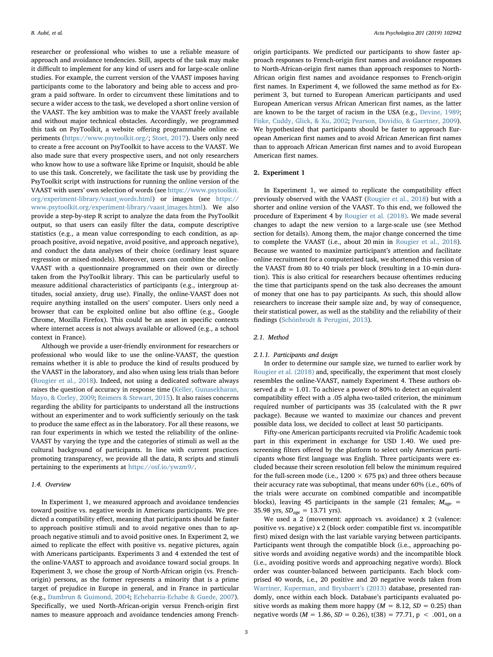researcher or professional who wishes to use a reliable measure of approach and avoidance tendencies. Still, aspects of the task may make it difficult to implement for any kind of users and for large-scale online studies. For example, the current version of the VAAST imposes having participants come to the laboratory and being able to access and program a paid software. In order to circumvent these limitations and to secure a wider access to the task, we developed a short online version of the VAAST. The key ambition was to make the VAAST freely available and without major technical obstacles. Accordingly, we programmed this task on PsyToolkit, a website offering programmable online experiments [\(https://www.psytoolkit.org/](https://www.psytoolkit.org/); [Stoet, 2017\)](#page-9-4). Users only need to create a free account on PsyToolkit to have access to the VAAST. We also made sure that every prospective users, and not only researchers who know how to use a software like Eprime or Inquisit, should be able to use this task. Concretely, we facilitate the task use by providing the PsyToolkit script with instructions for running the online version of the VAAST with users' own selection of words (see [https://www.psytoolkit.](https://www.psytoolkit.org/experiment-library/vaast_words.html) [org/experiment-library/vaast\\_words.html](https://www.psytoolkit.org/experiment-library/vaast_words.html)) or images (see [https://](https://www.psytoolkit.org/experiment-library/vaast_images.html) [www.psytoolkit.org/experiment-library/vaast\\_images.html](https://www.psytoolkit.org/experiment-library/vaast_images.html)). We also provide a step-by-step R script to analyze the data from the PsyToolkit output, so that users can easily filter the data, compute descriptive statistics (e.g., a mean value corresponding to each condition, as approach positive, avoid negative, avoid positive, and approach negative), and conduct the data analyses of their choice (ordinary least square regression or mixed-models). Moreover, users can combine the online-VAAST with a questionnaire programmed on their own or directly taken from the PsyToolkit library. This can be particularly useful to measure additional characteristics of participants (e.g., intergroup attitudes, social anxiety, drug use). Finally, the online-VAAST does not require anything installed on the users' computer. Users only need a browser that can be exploited online but also offline (e.g., Google Chrome, Mozilla Firefox). This could be an asset in specific contexts where internet access is not always available or allowed (e.g., a school context in France).

Although we provide a user-friendly environment for researchers or professional who would like to use the online-VAAST, the question remains whether it is able to produce the kind of results produced by the VAAST in the laboratory, and also when using less trials than before ([Rougier et al., 2018\)](#page-9-0). Indeed, not using a dedicated software always raises the question of accuracy in response time ([Keller, Gunasekharan,](#page-8-13) [Mayo, & Corley, 2009](#page-8-13); [Reimers & Stewart, 2015](#page-8-14)). It also raises concerns regarding the ability for participants to understand all the instructions without an experimenter and to work sufficiently seriously on the task to produce the same effect as in the laboratory. For all these reasons, we ran four experiments in which we tested the reliability of the online-VAAST by varying the type and the categories of stimuli as well as the cultural background of participants. In line with current practices promoting transparency, we provide all the data, R scripts and stimuli pertaining to the experiments at <https://osf.io/ywzm9/>.

## 1.4. Overview

In Experiment 1, we measured approach and avoidance tendencies toward positive vs. negative words in Americans participants. We predicted a compatibility effect, meaning that participants should be faster to approach positive stimuli and to avoid negative ones than to approach negative stimuli and to avoid positive ones. In Experiment 2, we aimed to replicate the effect with positive vs. negative pictures, again with Americans participants. Experiments 3 and 4 extended the test of the online-VAAST to approach and avoidance toward social groups. In Experiment 3, we chose the group of North-African origin (vs. Frenchorigin) persons, as the former represents a minority that is a prime target of prejudice in Europe in general, and in France in particular (e.g., [Dambrun & Guimond, 2004;](#page-8-15) [Echebarria-Echabe & Guede, 2007](#page-8-16)). Specifically, we used North-African-origin versus French-origin first names to measure approach and avoidance tendencies among French-

origin participants. We predicted our participants to show faster approach responses to French-origin first names and avoidance responses to North-African-origin first names than approach responses to North-African origin first names and avoidance responses to French-origin first names. In Experiment 4, we followed the same method as for Experiment 3, but turned to European American participants and used European American versus African American first names, as the latter are known to be the target of racism in the USA (e.g., [Devine, 1989](#page-8-17); [Fiske, Cuddy, Glick, & Xu, 2002;](#page-8-18) [Pearson, Dovidio, & Gaertner, 2009](#page-8-19)). We hypothesized that participants should be faster to approach European American first names and to avoid African American first names than to approach African American first names and to avoid European American first names.

## 2. Experiment 1

In Experiment 1, we aimed to replicate the compatibility effect previously observed with the VAAST ([Rougier et al., 2018\)](#page-9-0) but with a shorter and online version of the VAAST. To this end, we followed the procedure of Experiment 4 by [Rougier et al. \(2018\).](#page-9-0) We made several changes to adapt the new version to a large-scale use (see Method section for details). Among them, the major change concerned the time to complete the VAAST (i.e., about 20 min in [Rougier et al., 2018](#page-9-0)). Because we wanted to maximize participant's attention and facilitate online recruitment for a computerized task, we shortened this version of the VAAST from 80 to 40 trials per block (resulting in a 10-min duration). This is also critical for researchers because oftentimes reducing the time that participants spend on the task also decreases the amount of money that one has to pay participants. As such, this should allow researchers to increase their sample size and, by way of consequence, their statistical power, as well as the stability and the reliability of their findings ([Schönbrodt & Perugini, 2013](#page-9-5)).

# 2.1. Method

#### 2.1.1. Participants and design

In order to determine our sample size, we turned to earlier work by [Rougier et al. \(2018\)](#page-9-0) and, specifically, the experiment that most closely resembles the online-VAAST, namely Experiment 4. These authors observed a  $dz = 1.01$ . To achieve a power of 80% to detect an equivalent compatibility effect with a .05 alpha two-tailed criterion, the minimum required number of participants was 35 (calculated with the R pwr package). Because we wanted to maximize our chances and prevent possible data loss, we decided to collect at least 50 participants.

Fifty-one American participants recruited via Prolific Academic took part in this experiment in exchange for USD 1.40. We used prescreening filters offered by the platform to select only American participants whose first language was English. Three participants were excluded because their screen resolution fell below the minimum required for the full-screen mode (i.e.,  $1200 \times 675$  px) and three others because their accuracy rate was suboptimal, that means under 60% (i.e., 60% of the trials were accurate on combined compatible and incompatible blocks), leaving 45 participants in the sample (21 females;  $M_{age}$  = 35.98 yrs,  $SD_{age} = 13.71$  yrs).

We used a 2 (movement: approach vs. avoidance) x 2 (valence: positive vs. negative) x 2 (block order: compatible first vs. incompatible first) mixed design with the last variable varying between participants. Participants went through the compatible block (i.e., approaching positive words and avoiding negative words) and the incompatible block (i.e., avoiding positive words and approaching negative words). Block order was counter-balanced between participants. Each block comprised 40 words, i.e., 20 positive and 20 negative words taken from [Warriner, Kuperman, and Brysbaert](#page-9-6)'s (2013) database, presented randomly, once within each block. Database's participants evaluated positive words as making them more happy ( $M = 8.12$ ,  $SD = 0.25$ ) than negative words ( $M = 1.86$ ,  $SD = 0.26$ ), t(38) = 77.71, p < .001, on a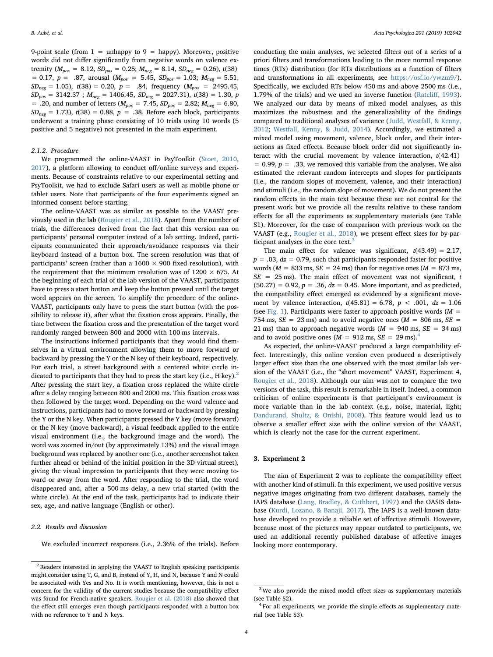9-point scale (from  $1 =$  unhappy to  $9 =$  happy). Moreover, positive words did not differ significantly from negative words on valence extremity ( $M_{pos} = 8.12$ ,  $SD_{pos} = 0.25$ ;  $M_{neg} = 8.14$ ,  $SD_{neg} = 0.26$ ),  $t(38)$  $= 0.17, p = .87,$  arousal ( $M_{pos} = 5.45, SD_{pos} = 1.03; M_{neg} = 5.51,$  $SD_{neg} = 1.05$ ),  $t(38) = 0.20$ ,  $p = .84$ , frequency ( $M_{pos} = 2495.45$ ,  $SD_{pos} = 3142.37$ ;  $M_{neg} = 1406.45$ ,  $SD_{neg} = 2027.31$ ,  $t(38) = 1.30$ , p = .20, and number of letters ( $M_{pos}$  = 7.45,  $SD_{pos}$  = 2.82;  $M_{neg}$  = 6.80,  $SD_{\text{neg}} = 1.73$ ,  $t(38) = 0.88$ ,  $p = .38$ . Before each block, participants underwent a training phase consisting of 10 trials using 10 words (5 positive and 5 negative) not presented in the main experiment.

#### 2.1.2. Procedure

We programmed the online-VAAST in PsyToolkit ([Stoet, 2010](#page-9-7), [2017\)](#page-9-4), a platform allowing to conduct off/online surveys and experiments. Because of constraints relative to our experimental setting and PsyToolkit, we had to exclude Safari users as well as mobile phone or tablet users. Note that participants of the four experiments signed an informed consent before starting.

The online-VAAST was as similar as possible to the VAAST previously used in the lab [\(Rougier et al., 2018\)](#page-9-0). Apart from the number of trials, the differences derived from the fact that this version ran on participants' personal computer instead of a lab setting. Indeed, participants communicated their approach/avoidance responses via their keyboard instead of a button box. The screen resolution was that of participants' screen (rather than a  $1600 \times 900$  fixed resolution), with the requirement that the minimum resolution was of  $1200 \times 675$ . At the beginning of each trial of the lab version of the VAAST, participants have to press a start button and keep the button pressed until the target word appears on the screen. To simplify the procedure of the online-VAAST, participants only have to press the start button (with the possibility to release it), after what the fixation cross appears. Finally, the time between the fixation cross and the presentation of the target word randomly ranged between 800 and 2000 with 100 ms intervals.

The instructions informed participants that they would find themselves in a virtual environment allowing them to move forward or backward by pressing the Y or the N key of their keyboard, respectively. For each trial, a street background with a centered white circle indicated to participants that they had to press the start key (i.e., H key).<sup>2</sup> After pressing the start key, a fixation cross replaced the white circle after a delay ranging between 800 and 2000 ms. This fixation cross was then followed by the target word. Depending on the word valence and instructions, participants had to move forward or backward by pressing the Y or the N key. When participants pressed the Y key (move forward) or the N key (move backward), a visual feedback applied to the entire visual environment (i.e., the background image and the word). The word was zoomed in/out (by approximately 13%) and the visual image background was replaced by another one (i.e., another screenshot taken further ahead or behind of the initial position in the 3D virtual street), giving the visual impression to participants that they were moving toward or away from the word. After responding to the trial, the word disappeared and, after a 500 ms delay, a new trial started (with the white circle). At the end of the task, participants had to indicate their sex, age, and native language (English or other).

#### 2.2. Results and discussion

We excluded incorrect responses (i.e., 2.36% of the trials). Before

conducting the main analyses, we selected filters out of a series of a priori filters and transformations leading to the more normal response times (RTs) distribution (for RTs distributions as a function of filters and transformations in all experiments, see <https://osf.io/ywzm9/>). Specifically, we excluded RTs below 450 ms and above 2500 ms (i.e., 1.79% of the trials) and we used an inverse function (Ratcliff[, 1993](#page-8-20)). We analyzed our data by means of mixed model analyses, as this maximizes the robustness and the generalizability of the findings compared to traditional analyses of variance ([Judd, Westfall, & Kenny,](#page-8-21) [2012;](#page-8-21) [Westfall, Kenny, & Judd, 2014](#page-9-8)). Accordingly, we estimated a mixed model using movement, valence, block order, and their interactions as fixed effects. Because block order did not significantly interact with the crucial movement by valence interaction,  $t(42.41)$  $= 0.99$ ,  $p = .33$ , we removed this variable from the analyses. We also estimated the relevant random intercepts and slopes for participants (i.e., the random slopes of movement, valence, and their interaction) and stimuli (i.e., the random slope of movement). We do not present the random effects in the main text because these are not central for the present work but we provide all the results relative to these random effects for all the experiments as supplementary materials (see Table S1). Moreover, for the ease of comparison with previous work on the VAAST (e.g., [Rougier et al., 2018](#page-9-0)), we present effect sizes for by-participant analyses in the core text. $3$ 

The main effect for valence was significant,  $t(43.49) = 2.17$ ,  $p = .03$ ,  $dz = 0.79$ , such that participants responded faster for positive words ( $M = 833$  ms,  $SE = 24$  ms) than for negative ones ( $M = 873$  ms,  $SE$  = 25 ms). The main effect of movement was not significant, t  $(50.27) = 0.92, p = .36, dz = 0.45$ . More important, and as predicted, the compatibility effect emerged as evidenced by a significant movement by valence interaction,  $t(45.81) = 6.78$ ,  $p < .001$ ,  $dz = 1.06$ (see [Fig. 1](#page-4-0)). Participants were faster to approach positive words ( $M =$ 754 ms,  $SE = 23$  ms) and to avoid negative ones ( $M = 806$  ms,  $SE =$ 21 ms) than to approach negative words  $(M = 940 \text{ ms}, SE = 34 \text{ ms})$ and to avoid positive ones  $(M = 912 \text{ ms}, \text{SE} = 29 \text{ ms})$ .

As expected, the online-VAAST produced a large compatibility effect. Interestingly, this online version even produced a descriptively larger effect size than the one observed with the most similar lab version of the VAAST (i.e., the "short movement" VAAST, Experiment 4, [Rougier et al., 2018](#page-9-0)). Although our aim was not to compare the two versions of the task, this result is remarkable in itself. Indeed, a common criticism of online experiments is that participant's environment is more variable than in the lab context (e.g., noise, material, light; [Dandurand, Shultz, & Onishi, 2008](#page-8-22)). This feature would lead us to observe a smaller effect size with the online version of the VAAST, which is clearly not the case for the current experiment.

#### 3. Experiment 2

The aim of Experiment 2 was to replicate the compatibility effect with another kind of stimuli. In this experiment, we used positive versus negative images originating from two different databases, namely the IAPS database ([Lang, Bradley, & Cuthbert, 1997](#page-8-23)) and the OASIS database [\(Kurdi, Lozano, & Banaji, 2017\)](#page-8-24). The IAPS is a well-known database developed to provide a reliable set of affective stimuli. However, because most of the pictures may appear outdated to participants, we used an additional recently published database of affective images looking more contemporary.

<span id="page-3-0"></span> $^{\rm 2}$  Readers interested in applying the VAAST to English speaking participants might consider using T, G, and B, instead of Y, H, and N, because Y and N could be associated with Yes and No. It is worth mentioning, however, this is not a concern for the validity of the current studies because the compatibility effect was found for French-native speakers. [Rougier et al. \(2018\)](#page-9-0) also showed that the effect still emerges even though participants responded with a button box with no reference to Y and N keys.

<span id="page-3-1"></span><sup>&</sup>lt;sup>3</sup> We also provide the mixed model effect sizes as supplementary materials (see Table S2).

<span id="page-3-2"></span> $4$  For all experiments, we provide the simple effects as supplementary material (see Table S3).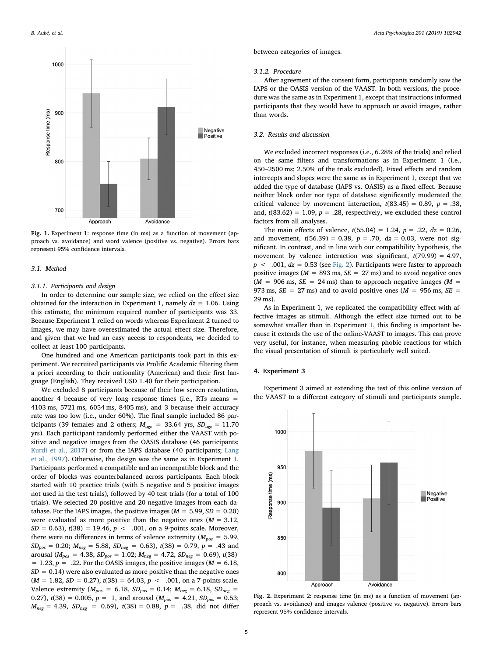<span id="page-4-0"></span>



### 3.1. Method

#### 3.1.1. Participants and design

In order to determine our sample size, we relied on the effect size obtained for the interaction in Experiment 1, namely  $dz = 1.06$ . Using this estimate, the minimum required number of participants was 33. Because Experiment 1 relied on words whereas Experiment 2 turned to images, we may have overestimated the actual effect size. Therefore, and given that we had an easy access to respondents, we decided to collect at least 100 participants.

One hundred and one American participants took part in this experiment. We recruited participants via Prolific Academic filtering them a priori according to their nationality (American) and their first language (English). They received USD 1.40 for their participation.

We excluded 8 participants because of their low screen resolution, another 4 because of very long response times (i.e., RTs means = 4103 ms, 5721 ms, 6054 ms, 8405 ms), and 3 because their accuracy rate was too low (i.e., under 60%). The final sample included 86 participants (39 females and 2 others;  $M_{age} = 33.64$  yrs,  $SD_{age} = 11.70$ yrs). Each participant randomly performed either the VAAST with positive and negative images from the OASIS database (46 participants; [Kurdi et al., 2017\)](#page-8-24) or from the IAPS database (40 participants; [Lang](#page-8-23) [et al., 1997\)](#page-8-23). Otherwise, the design was the same as in Experiment 1. Participants performed a compatible and an incompatible block and the order of blocks was counterbalanced across participants. Each block started with 10 practice trials (with 5 negative and 5 positive images not used in the test trials), followed by 40 test trials (for a total of 100 trials). We selected 20 positive and 20 negative images from each database. For the IAPS images, the positive images ( $M = 5.99$ ,  $SD = 0.20$ ) were evaluated as more positive than the negative ones ( $M = 3.12$ ,  $SD = 0.63$ ,  $t(38) = 19.46$ ,  $p < .001$ , on a 9-points scale. Moreover, there were no differences in terms of valence extremity ( $M_{pos} = 5.99$ ,  $SD_{pos} = 0.20$ ;  $M_{neg} = 5.88$ ,  $SD_{neg} = 0.63$ ),  $t(38) = 0.79$ ,  $p = .43$  and arousal ( $M_{pos} = 4.38$ ,  $SD_{pos} = 1.02$ ;  $M_{neg} = 4.72$ ,  $SD_{neg} = 0.69$ ),  $t(38)$ = 1.23,  $p = .22$ . For the OASIS images, the positive images ( $M = 6.18$ ,  $SD = 0.14$ ) were also evaluated as more positive than the negative ones  $(M = 1.82, SD = 0.27), t(38) = 64.03, p < .001$ , on a 7-points scale. Valence extremity ( $M_{pos} = 6.18$ ,  $SD_{pos} = 0.14$ ;  $M_{neg} = 6.18$ ,  $SD_{neg} =$ 0.27),  $t(38) = 0.005$ ,  $p = 1$ , and arousal  $(M_{pos} = 4.21, SD_{pos} = 0.53;$  $M_{\text{neg}} = 4.39$ ,  $SD_{\text{neg}} = 0.69$ ),  $t(38) = 0.88$ ,  $p = .38$ , did not differ

between categories of images.

#### 3.1.2. Procedure

After agreement of the consent form, participants randomly saw the IAPS or the OASIS version of the VAAST. In both versions, the procedure was the same as in Experiment 1, except that instructions informed participants that they would have to approach or avoid images, rather than words.

### 3.2. Results and discussion

We excluded incorrect responses (i.e., 6.28% of the trials) and relied on the same filters and transformations as in Experiment 1 (i.e., 450–2500 ms; 2.50% of the trials excluded). Fixed effects and random intercepts and slopes were the same as in Experiment 1, except that we added the type of database (IAPS vs. OASIS) as a fixed effect. Because neither block order nor type of database significantly moderated the critical valence by movement interaction,  $t(83.45) = 0.89$ ,  $p = .38$ , and,  $t(83.62) = 1.09$ ,  $p = .28$ , respectively, we excluded these control factors from all analyses.

The main effects of valence,  $t(55.04) = 1.24$ ,  $p = .22$ ,  $dz = 0.26$ , and movement,  $t(56.39) = 0.38$ ,  $p = .70$ ,  $dz = 0.03$ , were not significant. In contrast, and in line with our compatibility hypothesis, the movement by valence interaction was significant,  $t(79.99) = 4.97$ ,  $p < .001$ ,  $dz = 0.53$  (see [Fig. 2](#page-4-1)). Participants were faster to approach positive images ( $M = 893$  ms,  $SE = 27$  ms) and to avoid negative ones  $(M = 906 \text{ ms}, SE = 24 \text{ ms})$  than to approach negative images  $(M = 100 \text{ s})$ 973 ms,  $SE = 27$  ms) and to avoid positive ones ( $M = 956$  ms,  $SE =$ 29 ms).

As in Experiment 1, we replicated the compatibility effect with affective images as stimuli. Although the effect size turned out to be somewhat smaller than in Experiment 1, this finding is important because it extends the use of the online-VAAST to images. This can prove very useful, for instance, when measuring phobic reactions for which the visual presentation of stimuli is particularly well suited.

#### 4. Experiment 3

Experiment 3 aimed at extending the test of this online version of the VAAST to a different category of stimuli and participants sample.

<span id="page-4-1"></span>

Fig. 2. Experiment 2: response time (in ms) as a function of movement (approach vs. avoidance) and images valence (positive vs. negative). Errors bars represent 95% confidence intervals.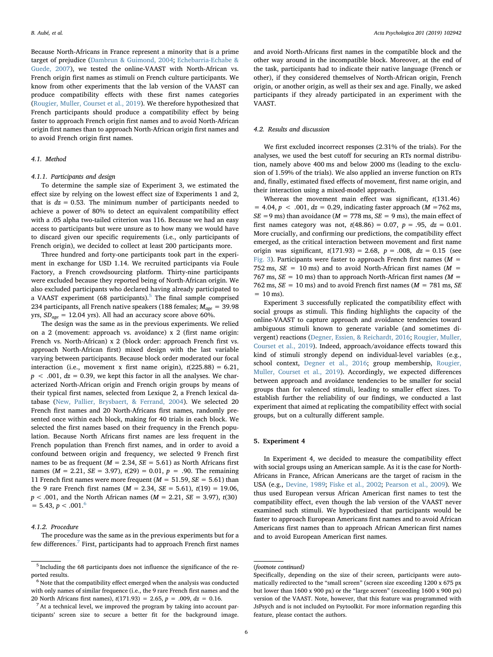Because North-Africans in France represent a minority that is a prime target of prejudice ([Dambrun & Guimond, 2004](#page-8-15); [Echebarria-Echabe &](#page-8-16) [Guede, 2007\)](#page-8-16), we tested the online-VAAST with North-African vs. French origin first names as stimuli on French culture participants. We know from other experiments that the lab version of the VAAST can produce compatibility effects with these first names categories ([Rougier, Muller, Courset et al., 2019](#page-9-9)). We therefore hypothesized that French participants should produce a compatibility effect by being faster to approach French origin first names and to avoid North-African origin first names than to approach North-African origin first names and to avoid French origin first names.

#### 4.1. Method

## 4.1.1. Participants and design

To determine the sample size of Experiment 3, we estimated the effect size by relying on the lowest effect size of Experiments 1 and 2, that is  $dz = 0.53$ . The minimum number of participants needed to achieve a power of 80% to detect an equivalent compatibility effect with a .05 alpha two-tailed criterion was 116. Because we had an easy access to participants but were unsure as to how many we would have to discard given our specific requirements (i.e., only participants of French origin), we decided to collect at least 200 participants more.

Three hundred and forty-one participants took part in the experiment in exchange for USD 1.14. We recruited participants via Foule Factory, a French crowdsourcing platform. Thirty-nine participants were excluded because they reported being of North-African origin. We also excluded participants who declared having already participated to a VAAST experiment (68 participants).<sup>[5](#page-5-0)</sup> The final sample comprised 234 participants, all French native speakers (188 females;  $M_{\text{age}} = 39.98$ yrs,  $SD_{age} = 12.04$  yrs). All had an accuracy score above 60%.

The design was the same as in the previous experiments. We relied on a 2 (movement: approach vs. avoidance) x 2 (first name origin: French vs. North-African) x 2 (block order: approach French first vs. approach North-African first) mixed design with the last variable varying between participants. Because block order moderated our focal interaction (i.e., movement x first name origin),  $t(225.88) = 6.21$ ,  $p < .001$ ,  $dz = 0.39$ , we kept this factor in all the analyses. We characterized North-African origin and French origin groups by means of their typical first names, selected from Lexique 2, a French lexical database [\(New, Pallier, Brysbaert, & Ferrand, 2004\)](#page-8-25). We selected 20 French first names and 20 North-Africans first names, randomly presented once within each block, making for 40 trials in each block. We selected the first names based on their frequency in the French population. Because North Africans first names are less frequent in the French population than French first names, and in order to avoid a confound between origin and frequency, we selected 9 French first names to be as frequent ( $M = 2.34$ ,  $SE = 5.61$ ) as North Africans first names ( $M = 2.21$ ,  $SE = 3.97$ ),  $t(29) = 0.01$ ,  $p = .90$ . The remaining 11 French first names were more frequent ( $M = 51.59$ ,  $SE = 5.61$ ) than the 9 rare French first names ( $M = 2.34$ ,  $SE = 5.61$ ),  $t(19) = 19.06$ ,  $p < .001$ , and the North African names ( $M = 2.21$ ,  $SE = 3.97$ ),  $t(30)$  $= 5.43, p < .001<sup>6</sup>$  $= 5.43, p < .001<sup>6</sup>$  $= 5.43, p < .001<sup>6</sup>$ 

#### 4.1.2. Procedure

The procedure was the same as in the previous experiments but for a few differences.<sup>[7](#page-5-2)</sup> First, participants had to approach French first names

and avoid North-Africans first names in the compatible block and the other way around in the incompatible block. Moreover, at the end of the task, participants had to indicate their native language (French or other), if they considered themselves of North-African origin, French origin, or another origin, as well as their sex and age. Finally, we asked participants if they already participated in an experiment with the VAAST.

## 4.2. Results and discussion

We first excluded incorrect responses (2.31% of the trials). For the analyses, we used the best cutoff for securing an RTs normal distribution, namely above 400 ms and below 2000 ms (leading to the exclusion of 1.59% of the trials). We also applied an inverse function on RTs and, finally, estimated fixed effects of movement, first name origin, and their interaction using a mixed-model approach.

Whereas the movement main effect was significant,  $t(131.46)$  $= 4.04, p < .001, dz = 0.29$ , indicating faster approach ( $M = 762$  ms,  $SE = 9$  ms) than avoidance ( $M = 778$  ms,  $SE = 9$  ms), the main effect of first names category was not,  $t(48.86) = 0.07$ ,  $p = .95$ ,  $dz = 0.01$ . More crucially, and confirming our predictions, the compatibility effect emerged, as the critical interaction between movement and first name origin was significant,  $t(171.93) = 2.68$ ,  $p = .008$ ,  $dz = 0.15$  (see [Fig. 3](#page-6-0)). Participants were faster to approach French first names ( $M =$ 752 ms,  $SE = 10$  ms) and to avoid North-African first names ( $M =$ 767 ms,  $SE = 10$  ms) than to approach North-African first names ( $M =$ 762 ms,  $SE = 10$  ms) and to avoid French first names ( $M = 781$  ms,  $SE$  $= 10$  ms).

Experiment 3 successfully replicated the compatibility effect with social groups as stimuli. This finding highlights the capacity of the online-VAAST to capture approach and avoidance tendencies toward ambiguous stimuli known to generate variable (and sometimes divergent) reactions [\(Degner, Essien, & Reichardt, 2016;](#page-8-26) [Rougier, Muller,](#page-9-9) [Courset et al., 2019](#page-9-9)). Indeed, approach/avoidance effects toward this kind of stimuli strongly depend on individual-level variables (e.g., school context, [Degner et al., 2016;](#page-8-26) group membership, [Rougier,](#page-9-9) [Muller, Courset et al., 2019](#page-9-9)). Accordingly, we expected differences between approach and avoidance tendencies to be smaller for social groups than for valenced stimuli, leading to smaller effect sizes. To establish further the reliability of our findings, we conducted a last experiment that aimed at replicating the compatibility effect with social groups, but on a culturally different sample.

# 5. Experiment 4

In Experiment 4, we decided to measure the compatibility effect with social groups using an American sample. As it is the case for North-Africans in France, African Americans are the target of racism in the USA (e.g., [Devine, 1989](#page-8-17); [Fiske et al., 2002;](#page-8-18) [Pearson et al., 2009](#page-8-19)). We thus used European versus African American first names to test the compatibility effect, even though the lab version of the VAAST never examined such stimuli. We hypothesized that participants would be faster to approach European Americans first names and to avoid African Americans first names than to approach African American first names and to avoid European American first names.

<span id="page-5-0"></span><sup>5</sup> Including the 68 participants does not influence the significance of the reported results.

<span id="page-5-1"></span> $6$  Note that the compatibility effect emerged when the analysis was conducted with only names of similar frequence (i.e., the 9 rare French first names and the 20 North Africans first names),  $t(171.93) = 2.65$ ,  $p = .009$ ,  $dz = 0.16$ .

<span id="page-5-2"></span> $<sup>7</sup>$  At a technical level, we improved the program by taking into account par-</sup> ticipants' screen size to secure a better fit for the background image.

<sup>(</sup>footnote continued)

Specifically, depending on the size of their screen, participants were automatically redirected to the "small screen" (screen size exceeding 1200 x 675 px but lower than 1600 x 900 px) or the "large screen" (exceeding 1600 x 900 px) version of the VAAST. Note, however, that this feature was programmed with JsPsych and is not included on Psytoolkit. For more information regarding this feature, please contact the authors.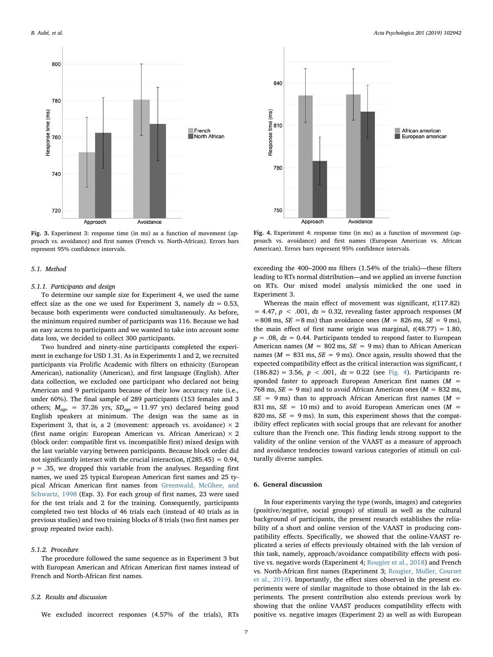<span id="page-6-0"></span>

Fig. 3. Experiment 3: response time (in ms) as a function of movement (approach vs. avoidance) and first names (French vs. North-African). Errors bars represent 95% confidence intervals.

### 5.1. Method

#### 5.1.1. Participants and design

To determine our sample size for Experiment 4, we used the same effect size as the one we used for Experiment 3, namely  $dz = 0.53$ , because both experiments were conducted simultaneously. As before, the minimum required number of participants was 116. Because we had an easy access to participants and we wanted to take into account some data loss, we decided to collect 300 participants.

Two hundred and ninety-nine participants completed the experiment in exchange for USD 1.31. As in Experiments 1 and 2, we recruited participants via Prolific Academic with filters on ethnicity (European American), nationality (American), and first language (English). After data collection, we excluded one participant who declared not being American and 9 participants because of their low accuracy rate (i.e., under 60%). The final sample of 289 participants (153 females and 3 others;  $M_{age}$  = 37.26 yrs,  $SD_{age}$  = 11.97 yrs) declared being good English speakers at minimum. The design was the same as in Experiment 3, that is, a 2 (movement: approach vs. avoidance)  $\times$  2 (first name origin: European American vs. African American)  $\times$  2 (block order: compatible first vs. incompatible first) mixed design with the last variable varying between participants. Because block order did not significantly interact with the crucial interaction,  $t(285.45) = 0.94$ ,  $p = .35$ , we dropped this variable from the analyses. Regarding first names, we used 25 typical European American first names and 25 typical African American first names from [Greenwald, McGhee, and](#page-8-27) [Schwartz, 1998](#page-8-27) (Exp. 3). For each group of first names, 23 were used for the test trials and 2 for the training. Consequently, participants completed two test blocks of 46 trials each (instead of 40 trials as in previous studies) and two training blocks of 8 trials (two first names per group repeated twice each).

## 5.1.2. Procedure

The procedure followed the same sequence as in Experiment 3 but with European American and African American first names instead of French and North-African first names.

#### 5.2. Results and discussion

We excluded incorrect responses (4.57% of the trials), RTs

<span id="page-6-1"></span>

Fig. 4. Experiment 4: response time (in ms) as a function of movement (approach vs. avoidance) and first names (European American vs. African American). Errors bars represent 95% confidence intervals.

exceeding the 400–2000 ms filters (1.54% of the trials)—these filters leading to RTs normal distribution—and we applied an inverse function on RTs. Our mixed model analysis mimicked the one used in Experiment 3.

Whereas the main effect of movement was significant,  $t(117.82)$  $= 4.47, p < .001, dz = 0.32$ , revealing faster approach responses (M  $=808$  ms,  $SE = 8$  ms) than avoidance ones ( $M = 826$  ms,  $SE = 9$  ms), the main effect of first name origin was marginal,  $t(48.77) = 1.80$ ,  $p = .08$ ,  $dz = 0.44$ . Participants tended to respond faster to European American names ( $M = 802$  ms,  $SE = 9$  ms) than to African American names ( $M = 831$  ms,  $SE = 9$  ms). Once again, results showed that the expected compatibility effect as the critical interaction was significant, t  $(186.82) = 3.56, p < .001, dz = 0.22$  (see [Fig. 4\)](#page-6-1). Participants responded faster to approach European American first names  $(M =$ 768 ms,  $SE = 9$  ms) and to avoid African American ones ( $M = 832$  ms,  $SE = 9$  ms) than to approach African American first names ( $M =$ 831 ms,  $SE = 10$  ms) and to avoid European American ones ( $M =$ 820 ms,  $SE = 9$  ms). In sum, this experiment shows that the compatibility effect replicates with social groups that are relevant for another culture than the French one. This finding lends strong support to the validity of the online version of the VAAST as a measure of approach and avoidance tendencies toward various categories of stimuli on culturally diverse samples.

## 6. General discussion

In four experiments varying the type (words, images) and categories (positive/negative, social groups) of stimuli as well as the cultural background of participants, the present research establishes the reliability of a short and online version of the VAAST in producing compatibility effects. Specifically, we showed that the online-VAAST replicated a series of effects previously obtained with the lab version of this task, namely, approach/avoidance compatibility effects with positive vs. negative words (Experiment 4; [Rougier et al., 2018](#page-9-0)) and French vs. North-African first names (Experiment 3; [Rougier, Muller, Courset](#page-9-9) [et al., 2019](#page-9-9)). Importantly, the effect sizes observed in the present experiments were of similar magnitude to those obtained in the lab experiments. The present contribution also extends previous work by showing that the online VAAST produces compatibility effects with positive vs. negative images (Experiment 2) as well as with European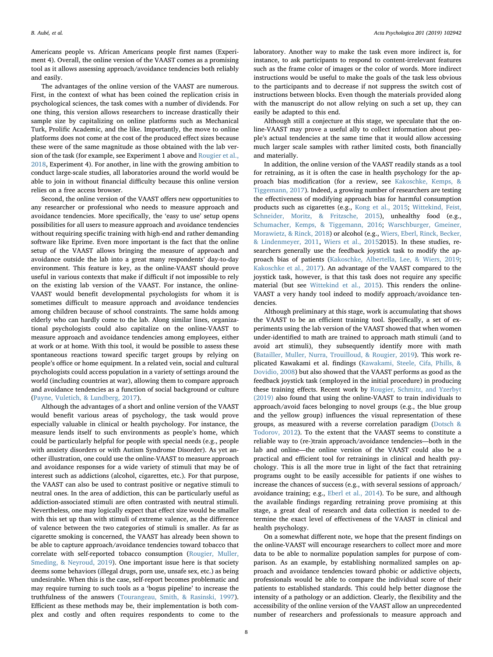Americans people vs. African Americans people first names (Experiment 4). Overall, the online version of the VAAST comes as a promising tool as it allows assessing approach/avoidance tendencies both reliably and easily.

The advantages of the online version of the VAAST are numerous. First, in the context of what has been coined the replication crisis in psychological sciences, the task comes with a number of dividends. For one thing, this version allows researchers to increase drastically their sample size by capitalizing on online platforms such as Mechanical Turk, Prolific Academic, and the like. Importantly, the move to online platforms does not come at the cost of the produced effect sizes because these were of the same magnitude as those obtained with the lab version of the task (for example, see Experiment 1 above and [Rougier et al.,](#page-9-0) [2018,](#page-9-0) Experiment 4). For another, in line with the growing ambition to conduct large-scale studies, all laboratories around the world would be able to join in without financial difficulty because this online version relies on a free access browser.

Second, the online version of the VAAST offers new opportunities to any researcher or professional who needs to measure approach and avoidance tendencies. More specifically, the 'easy to use' setup opens possibilities for all users to measure approach and avoidance tendencies without requiring specific training with high-end and rather demanding software like Eprime. Even more important is the fact that the online setup of the VAAST allows bringing the measure of approach and avoidance outside the lab into a great many respondents' day-to-day environment. This feature is key, as the online-VAAST should prove useful in various contexts that make if difficult if not impossible to rely on the existing lab version of the VAAST. For instance, the online-VAAST would benefit developmental psychologists for whom it is sometimes difficult to measure approach and avoidance tendencies among children because of school constraints. The same holds among elderly who can hardly come to the lab. Along similar lines, organizational psychologists could also capitalize on the online-VAAST to measure approach and avoidance tendencies among employees, either at work or at home. With this tool, it would be possible to assess these spontaneous reactions toward specific target groups by relying on people's office or home equipment. In a related vein, social and cultural psychologists could access population in a variety of settings around the world (including countries at war), allowing them to compare approach and avoidance tendencies as a function of social background or culture ([Payne, Vuletich, & Lundberg, 2017\)](#page-8-28).

Although the advantages of a short and online version of the VAAST would benefit various areas of psychology, the task would prove especially valuable in clinical or health psychology. For instance, the measure lends itself to such environments as people's home, which could be particularly helpful for people with special needs (e.g., people with anxiety disorders or with Autism Syndrome Disorder). As yet another illustration, one could use the online-VAAST to measure approach and avoidance responses for a wide variety of stimuli that may be of interest such as addictions (alcohol, cigarettes, etc.). For that purpose, the VAAST can also be used to contrast positive or negative stimuli to neutral ones. In the area of addiction, this can be particularly useful as addiction-associated stimuli are often contrasted with neutral stimuli. Nevertheless, one may logically expect that effect size would be smaller with this set up than with stimuli of extreme valence, as the difference of valence between the two categories of stimuli is smaller. As far as cigarette smoking is concerned, the VAAST has already been shown to be able to capture approach/avoidance tendencies toward tobacco that correlate with self-reported tobacco consumption ([Rougier, Muller,](#page-9-10) [Smeding, & Neyroud, 2019\)](#page-9-10). One important issue here is that society deems some behaviors (illegal drugs, porn use, unsafe sex, etc.) as being undesirable. When this is the case, self-report becomes problematic and may require turning to such tools as a 'bogus pipeline' to increase the truthfulness of the answers [\(Tourangeau, Smith, & Rasinski, 1997](#page-9-11)). Efficient as these methods may be, their implementation is both complex and costly and often requires respondents to come to the laboratory. Another way to make the task even more indirect is, for instance, to ask participants to respond to content-irrelevant features such as the frame color of images or the color of words. More indirect instructions would be useful to make the goals of the task less obvious to the participants and to decrease if not suppress the switch cost of instructions between blocks. Even though the materials provided along with the manuscript do not allow relying on such a set up, they can easily be adapted to this end.

Although still a conjecture at this stage, we speculate that the online-VAAST may prove a useful ally to collect information about people's actual tendencies at the same time that it would allow accessing much larger scale samples with rather limited costs, both financially and materially.

In addition, the online version of the VAAST readily stands as a tool for retraining, as it is often the case in health psychology for the approach bias modification (for a review, see [Kakoschke, Kemps, &](#page-8-29) [Tiggemann, 2017](#page-8-29)). Indeed, a growing number of researchers are testing the effectiveness of modifying approach bias for harmful consumption products such as cigarettes (e.g., [Kong et al., 2015;](#page-8-30) [Wittekind, Feist,](#page-9-12) [Schneider, Moritz, & Fritzsche, 2015\)](#page-9-12), unhealthy food (e.g., [Schumacher, Kemps, & Tiggemann, 2016;](#page-9-13) [Warschburger, Gmeiner,](#page-9-14) [Morawietz, & Rinck, 2018](#page-9-14)) or alcohol (e.g., [Wiers, Eberl, Rinck, Becker,](#page-9-15) [& Lindenmeyer, 2011,](#page-9-15) [Wiers et al., 2015](#page-9-16)2015). In these studies, researchers generally use the feedback joystick task to modify the approach bias of patients ([Kakoschke, Albertella, Lee, & Wiers, 2019](#page-8-31); [Kakoschke et al., 2017\)](#page-8-29). An advantage of the VAAST compared to the joystick task, however, is that this task does not require any specific material (but see [Wittekind et al., 2015](#page-9-12)). This renders the online-VAAST a very handy tool indeed to modify approach/avoidance tendencies.

Although preliminary at this stage, work is accumulating that shows the VAAST to be an efficient training tool. Specifically, a set of experiments using the lab version of the VAAST showed that when women under-identified to math are trained to approach math stimuli (and to avoid art stimuli), they subsequently identify more with math ([Batailler, Muller, Nurra, Trouilloud, & Rougier, 2019\)](#page-8-32). This work replicated Kawakami et al. findings ([Kawakami, Steele, Cifa, Phills, &](#page-8-33) [Dovidio, 2008](#page-8-33)) but also showed that the VAAST performs as good as the feedback joystick task (employed in the initial procedure) in producing these training effects. Recent work by [Rougier, Schmitz, and Yzerbyt](#page-9-17) [\(2019\)](#page-9-17) also found that using the online-VAAST to train individuals to approach/avoid faces belonging to novel groups (e.g., the blue group and the yellow group) influences the visual representation of these groups, as measured with a reverse correlation paradigm [\(Dotsch &](#page-8-34) [Todorov, 2012\)](#page-8-34). To the extent that the VAAST seems to constitute a reliable way to (re-)train approach/avoidance tendencies—both in the lab and online—the online version of the VAAST could also be a practical and efficient tool for retrainings in clinical and health psychology. This is all the more true in light of the fact that retraining programs ought to be easily accessible for patients if one wishes to increase the chances of success (e.g., with several sessions of approach/ avoidance training; e.g., [Eberl et al., 2014\)](#page-8-35). To be sure, and although the available findings regarding retraining prove promising at this stage, a great deal of research and data collection is needed to determine the exact level of effectiveness of the VAAST in clinical and health psychology.

On a somewhat different note, we hope that the present findings on the online-VAAST will encourage researchers to collect more and more data to be able to normalize population samples for purpose of comparison. As an example, by establishing normalized samples on approach and avoidance tendencies toward phobic or addictive objects, professionals would be able to compare the individual score of their patients to established standards. This could help better diagnose the intensity of a pathology or an addiction. Clearly, the flexibility and the accessibility of the online version of the VAAST allow an unprecedented number of researchers and professionals to measure approach and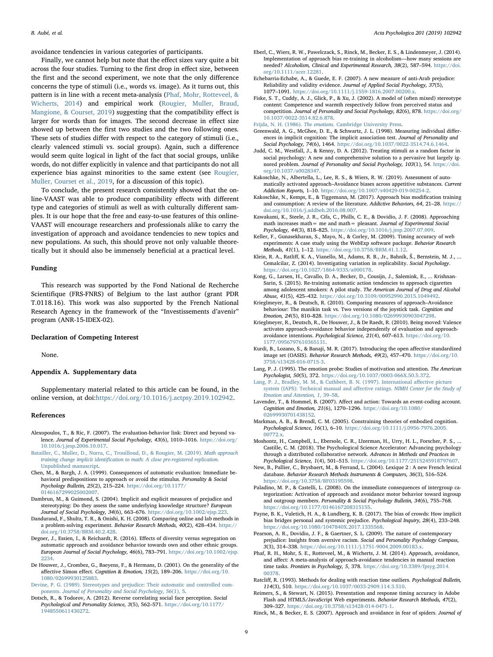avoidance tendencies in various categories of participants.

Finally, we cannot help but note that the effect sizes vary quite a bit across the four studies. Turning to the first drop in effect size, between the first and the second experiment, we note that the only difference concerns the type of stimuli (i.e., words vs. image). As it turns out, this pattern is in line with a recent meta-analysis [\(Phaf, Mohr, Rotteveel, &](#page-8-36) [Wicherts, 2014](#page-8-36)) and empirical work [\(Rougier, Muller, Braud,](#page-9-18) [Mangione, & Courset, 2019](#page-9-18)) suggesting that the compatibility effect is larger for words than for images. The second decrease in effect size showed up between the first two studies and the two following ones. These sets of studies differ with respect to the category of stimuli (i.e., clearly valenced stimuli vs. social groups). Again, such a difference would seem quite logical in light of the fact that social groups, unlike words, do not differ explicitly in valence and that participants do not all experience bias against minorities to the same extent (see [Rougier,](#page-9-9) [Muller, Courset et al., 2019,](#page-9-9) for a discussion of this topic).

To conclude, the present research consistently showed that the online-VAAST was able to produce compatibility effects with different type and categories of stimuli as well as with culturally different samples. It is our hope that the free and easy-to-use features of this online-VAAST will encourage researchers and professionals alike to carry the investigation of approach and avoidance tendencies to new topics and new populations. As such, this should prove not only valuable theoretically but it should also be immensely beneficial at a practical level.

#### Funding

This research was supported by the Fond National de Recherche Scientifique (FRS-FNRS) of Belgium to the last author (grant PDR T.0118.16). This work was also supported by the French National Research Agency in the framework of the "Investissements d'avenir" program (ANR-15-IDEX-02).

## Declaration of Competing Interest

None.

## Appendix A. Supplementary data

Supplementary material related to this article can be found, in the online version, at doi:[https://doi.org/10.1016/j.actpsy.2019.102942.](https://doi.org/10.1016/j.actpsy.2019.102942)

#### References

- <span id="page-8-6"></span>Alexopoulos, T., & Ric, F. (2007). The evaluation-behavior link: Direct and beyond valence. Journal of Experimental Social Psychology, 43(6), 1010–1016. [https://doi.org/](https://doi.org/10.1016/j.jesp.2006.10.017) [10.1016/j.jesp.2006.10.017](https://doi.org/10.1016/j.jesp.2006.10.017).
- <span id="page-8-32"></span>[Batailler, C., Muller, D., Nurra, C., Trouilloud, D., & Rougier, M. \(2019\).](http://refhub.elsevier.com/S0001-6918(19)30245-8/sbref0010) Math approach training change implicit identifi[cation to math: A close pre-registered replication.](http://refhub.elsevier.com/S0001-6918(19)30245-8/sbref0010) [Unpublished manuscript.](http://refhub.elsevier.com/S0001-6918(19)30245-8/sbref0010)
- <span id="page-8-2"></span>Chen, M., & Bargh, J. A. (1999). Consequences of automatic evaluation: Immediate behavioral predispositions to approach or avoid the stimulus. Personality & Social Psychology Bulletin, 25(2), 215–224. [https://doi.org/10.1177/](https://doi.org/10.1177/0146167299025002007) [0146167299025002007.](https://doi.org/10.1177/0146167299025002007)
- <span id="page-8-15"></span>Dambrun, M., & Guimond, S. (2004). Implicit and explicit measures of prejudice and stereotyping: Do they assess the same underlying knowledge structure? European Journal of Social Psychology, 34(6), 663–676. <https://doi.org/10.1002/ejsp.223>.
- <span id="page-8-22"></span>Dandurand, F., Shultz, T. R., & Onishi, K. H. (2008). Comparing online and lab methods in a problem-solving experiment. Behavior Research Methods, 40(2), 428–434. [https://](https://doi.org/10.3758/BRM.40.2.428) [doi.org/10.3758/BRM.40.2.428.](https://doi.org/10.3758/BRM.40.2.428)
- <span id="page-8-26"></span>Degner, J., Essien, I., & Reichardt, R. (2016). Effects of diversity versus segregation on automatic approach and avoidance behavior towards own and other ethnic groups. European Journal of Social Psychology, 46(6), 783–791. [https://doi.org/10.1002/ejsp.](https://doi.org/10.1002/ejsp.2234) [2234.](https://doi.org/10.1002/ejsp.2234)
- <span id="page-8-12"></span>De Houwer, J., Crombez, G., Baeyens, F., & Hermans, D. (2001). On the generality of the affective Simon effect. Cognition & Emotion, 15(2), 189–206. [https://doi.org/10.](https://doi.org/10.1080/02699930125883) [1080/02699930125883](https://doi.org/10.1080/02699930125883).
- <span id="page-8-17"></span>[Devine, P. G. \(1989\). Stereotypes and prejudice: Their automatic and controlled com](http://refhub.elsevier.com/S0001-6918(19)30245-8/sbref0040)ponents. [Journal of Personality and Social Psychology, 56](http://refhub.elsevier.com/S0001-6918(19)30245-8/sbref0040)(1), 5.
- <span id="page-8-34"></span>Dotsch, R., & Todorov, A. (2012). Reverse correlating social face perception. Social Psychological and Personality Science, 3(5), 562–571. [https://doi.org/10.1177/](https://doi.org/10.1177/1948550611430272) [1948550611430272.](https://doi.org/10.1177/1948550611430272)
- <span id="page-8-35"></span>Eberl, C., Wiers, R. W., Pawelczack, S., Rinck, M., Becker, E. S., & Lindenmeyer, J. (2014). Implementation of approach bias re-training in alcoholism—how many sessions are needed? Alcoholism, Clinical and Experimental Research, 38(2), 587–594. [https://doi.](https://doi.org/10.1111/acer.12281) [org/10.1111/acer.12281](https://doi.org/10.1111/acer.12281).
- <span id="page-8-16"></span>Echebarria-Echabe, A., & Guede, E. F. (2007). A new measure of anti‐Arab prejudice: Reliability and validity evidence. Journal of Applied Social Psychology, 37(5), 1077–1091. <https://doi.org/10.1111/j.1559-1816.2007.00200.x>.
- <span id="page-8-18"></span>Fiske, S. T., Cuddy, A. J., Glick, P., & Xu, J. (2002). A model of (often mixed) stereotype content: Competence and warmth respectively follow from perceived status and competition. Journal of Personality and Social Psychology, 82(6), 878. [https://doi.org/](https://doi.org/10.1037/0022-3514.82.6.878) [10.1037/0022-3514.82.6.878.](https://doi.org/10.1037/0022-3514.82.6.878)

<span id="page-8-0"></span>Frijda, N. H. (1986). The emotions. [Cambridge University Press](http://refhub.elsevier.com/S0001-6918(19)30245-8/sbref0065).

- <span id="page-8-27"></span>Greenwald, A. G., McGhee, D. E., & Schwartz, J. L. (1998). Measuring individual differences in implicit cognition: The implicit association test. Journal of Personality and Social Psychology, 74(6), 1464. [https://doi.org/10.1037/0022-3514.74.6.1464.](https://doi.org/10.1037/0022-3514.74.6.1464)
- <span id="page-8-21"></span>Judd, C. M., Westfall, J., & Kenny, D. A. (2012). Treating stimuli as a random factor in social psychology: A new and comprehensive solution to a pervasive but largely ignored problem. Journal of Personality and Social Psychology, 103(1), 54. [https://doi.](https://doi.org/10.1037/a0028347) [org/10.1037/a0028347.](https://doi.org/10.1037/a0028347)
- <span id="page-8-31"></span>Kakoschke, N., Albertella, L., Lee, R. S., & Wiers, R. W. (2019). Assessment of automatically activated approach–Avoidance biases across appetitive substances. Current Addiction Reports, 1–10. [https://doi.org/10.1007/s40429-019-00254-2.](https://doi.org/10.1007/s40429-019-00254-2)
- <span id="page-8-29"></span>Kakoschke, N., Kemps, E., & Tiggemann, M. (2017). Approach bias modification training and consumption: A review of the literature. Addictive Behaviors, 64, 21–28. [https://](https://doi.org/10.1016/j.addbeh.2016.08.007) [doi.org/10.1016/j.addbeh.2016.08.007](https://doi.org/10.1016/j.addbeh.2016.08.007).
- <span id="page-8-33"></span>Kawakami, K., Steele, J. R., Cifa, C., Phills, C. E., & Dovidio, J. F. (2008). Approaching math increases math = me and math = pleasant. Journal of Experimental Social Psychology, 44(3), 818–825. <https://doi.org/10.1016/j.jesp.2007.07.009>.
- <span id="page-8-13"></span>Keller, F., Gunasekharan, S., Mayo, N., & Corley, M. (2009). Timing accuracy of web experiments: A case study using the WebExp software package. Behavior Research Methods, 41(1), 1–12. [https://doi.org/10.3758/BRM.41.1.12.](https://doi.org/10.3758/BRM.41.1.12)
- <span id="page-8-5"></span>Klein, R. A., Ratliff, K. A., Vianello, M., Adams, R. B., Jr., Bahník, Š., Bernstein, M. J., ... Cemalcilar, Z. (2014). Investigating variation in replicability. Social Psychology. <https://doi.org/10.1027/1864-9335/a000178>.
- <span id="page-8-30"></span>Kong, G., Larsen, H., Cavallo, D. A., Becker, D., Cousijn, J., Salemink, E., ... Krishnan-Sarin, S. (2015). Re-training automatic action tendencies to approach cigarettes among adolescent smokers: A pilot study. The American Journal of Drug and Alcohol Abuse, 41(5), 425–432. [https://doi.org/10.3109/00952990.2015.1049492.](https://doi.org/10.3109/00952990.2015.1049492)
- <span id="page-8-11"></span>Krieglmeyer, R., & Deutsch, R. (2010). Comparing measures of approach–Avoidance behaviour: The manikin task vs. Two versions of the joystick task. Cognition and Emotion, 24(5), 810–828. <https://doi.org/10.1080/02699930903047298>.
- <span id="page-8-3"></span>Krieglmeyer, R., Deutsch, R., De Houwer, J., & De Raedt, R. (2010). Being moved: Valence activates approach-avoidance behavior independently of evaluation and approachavoidance intentions. Psychological Science, 21(4), 607–613. [https://doi.org/10.](https://doi.org/10.1177/0956797610365131) [1177/0956797610365131](https://doi.org/10.1177/0956797610365131).
- <span id="page-8-24"></span>Kurdi, B., Lozano, S., & Banaji, M. R. (2017). Introducing the open affective standardized image set (OASIS). Behavior Research Methods, 49(2), 457–470. [https://doi.org/10.](https://doi.org/10.3758/s13428-016-0715-3) [3758/s13428-016-0715-3](https://doi.org/10.3758/s13428-016-0715-3).
- <span id="page-8-1"></span>Lang, P. J. (1995). The emotion probe: Studies of motivation and attention. The American Psychologist, 50(5), 372. [https://doi.org/10.1037/0003-066X.50.5.372.](https://doi.org/10.1037/0003-066X.50.5.372)
- <span id="page-8-23"></span>[Lang, P. J., Bradley, M. M., & Cuthbert, B. N. \(1997\). International a](http://refhub.elsevier.com/S0001-6918(19)30245-8/sbref0130)ffective picture [system \(IAPS\): Technical manual and a](http://refhub.elsevier.com/S0001-6918(19)30245-8/sbref0130)ffective ratings. NIMH Center for the Study of [Emotion and Attention, 1](http://refhub.elsevier.com/S0001-6918(19)30245-8/sbref0130), 39–58.
- <span id="page-8-10"></span>Lavender, T., & Hommel, B. (2007). Affect and action: Towards an event-coding account. Cognition and Emotion, 21(6), 1270–1296. [https://doi.org/10.1080/](https://doi.org/10.1080/02699930701438152) [02699930701438152.](https://doi.org/10.1080/02699930701438152)
- <span id="page-8-8"></span>Markman, A. B., & Brendl, C. M. (2005). Constraining theories of embodied cognition. Psychological Science, 16(1), 6–10. [https://doi.org/10.1111/j.0956-7976.2005.](https://doi.org/10.1111/j.0956-7976.2005.00772.x) [00772.x.](https://doi.org/10.1111/j.0956-7976.2005.00772.x)
- <span id="page-8-4"></span>Moshontz, H., Campbell, L., Ebersole, C. R., IJzerman, H., Urry, H. L., Forscher, P. S., ... Castille, C. M. (2018). The Psychological Science Accelerator: Advancing psychology through a distributed collaborative network. Advances in Methods and Practices in Psychological Science, 1(4), 501–515. <https://doi.org/10.1177/2515245918797607>.
- <span id="page-8-25"></span>New, B., Pallier, C., Brysbaert, M., & Ferrand, L. (2004). Lexique 2 : A new French lexical database. Behavior Research Methods Instruments & Computers, 36(3), 516–524. <https://doi.org/10.3758/BF03195598>.
- <span id="page-8-9"></span>Paladino, M. P., & Castelli, L. (2008). On the immediate consequences of intergroup categorization: Activation of approach and avoidance motor behavior toward ingroup and outgroup members. Personality & Social Psychology Bulletin, 34(6), 755–768. [https://doi.org/10.1177/0146167208315155.](https://doi.org/10.1177/0146167208315155)
- <span id="page-8-28"></span>Payne, B. K., Vuletich, H. A., & Lundberg, K. B. (2017). The bias of crowds: How implicit bias bridges personal and systemic prejudice. Psychological Inquiry, 28(4), 233–248. [https://doi.org/10.1080/1047840X.2017.1335568.](https://doi.org/10.1080/1047840X.2017.1335568)
- <span id="page-8-19"></span>Pearson, A. R., Dovidio, J. F., & Gaertner, S. L. (2009). The nature of contemporary prejudice: Insights from aversive racism. Social and Personality Psychology Compass, 3(3), 314–338. <https://doi.org/10.1111/j.1751-9004.2009.00183.x>.
- <span id="page-8-36"></span>Phaf, R. H., Mohr, S. E., Rotteveel, M., & Wicherts, J. M. (2014). Approach, avoidance, and affect: A meta-analysis of approach-avoidance tendencies in manual reaction time tasks. Frontiers in Psychology, 5, 378. [https://doi.org/10.3389/fpsyg.2014.](https://doi.org/10.3389/fpsyg.2014.00378) [00378.](https://doi.org/10.3389/fpsyg.2014.00378)
- <span id="page-8-20"></span>Ratcliff, R. (1993). Methods for dealing with reaction time outliers. Psychological Bulletin, 114(3), 510. <https://doi.org/10.1037/0033-2909.114.3.510>.
- <span id="page-8-14"></span>Reimers, S., & Stewart, N. (2015). Presentation and response timing accuracy in Adobe Flash and HTML5/JavaScript Web experiments. Behavior Research Methods, 47(2), 309–327. <https://doi.org/10.3758/s13428-014-0471-1>.
- <span id="page-8-7"></span>Rinck, M., & Becker, E. S. (2007). Approach and avoidance in fear of spiders. Journal of